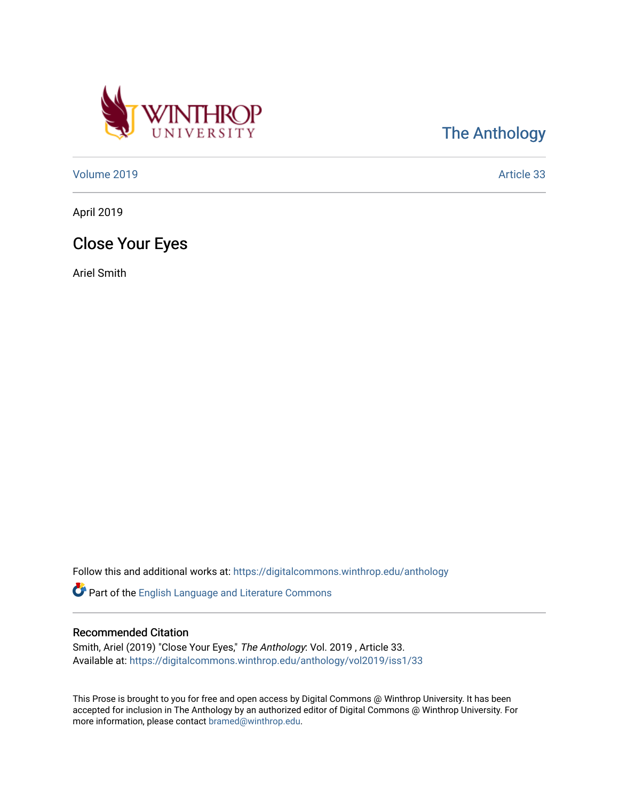

[The Anthology](https://digitalcommons.winthrop.edu/anthology) 

[Volume 2019](https://digitalcommons.winthrop.edu/anthology/vol2019) [Article 33](https://digitalcommons.winthrop.edu/anthology/vol2019/iss1/33) 

April 2019

## Close Your Eyes

Ariel Smith

Follow this and additional works at: [https://digitalcommons.winthrop.edu/anthology](https://digitalcommons.winthrop.edu/anthology?utm_source=digitalcommons.winthrop.edu%2Fanthology%2Fvol2019%2Fiss1%2F33&utm_medium=PDF&utm_campaign=PDFCoverPages) 

Part of the [English Language and Literature Commons](http://network.bepress.com/hgg/discipline/455?utm_source=digitalcommons.winthrop.edu%2Fanthology%2Fvol2019%2Fiss1%2F33&utm_medium=PDF&utm_campaign=PDFCoverPages)

## Recommended Citation

Smith, Ariel (2019) "Close Your Eyes," The Anthology: Vol. 2019 , Article 33. Available at: [https://digitalcommons.winthrop.edu/anthology/vol2019/iss1/33](https://digitalcommons.winthrop.edu/anthology/vol2019/iss1/33?utm_source=digitalcommons.winthrop.edu%2Fanthology%2Fvol2019%2Fiss1%2F33&utm_medium=PDF&utm_campaign=PDFCoverPages) 

This Prose is brought to you for free and open access by Digital Commons @ Winthrop University. It has been accepted for inclusion in The Anthology by an authorized editor of Digital Commons @ Winthrop University. For more information, please contact [bramed@winthrop.edu](mailto:bramed@winthrop.edu).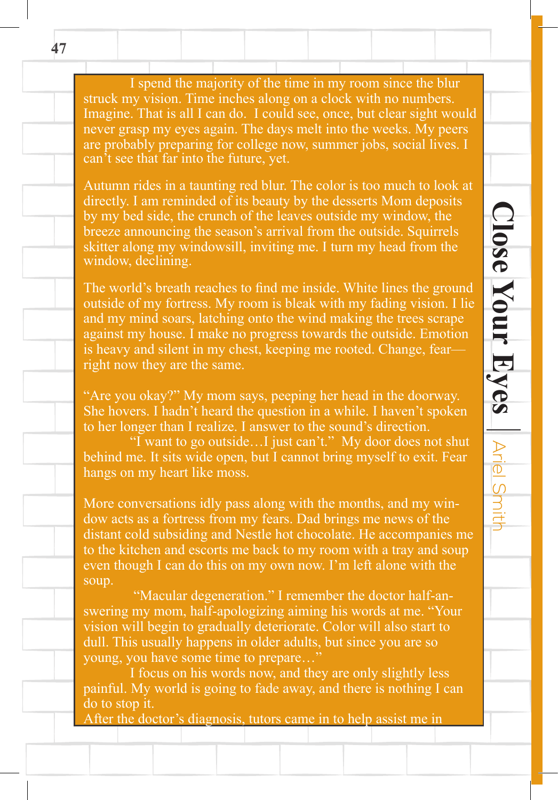I spend the majority of the time in my room since the blur struck my vision. Time inches along on a clock with no numbers. Imagine. That is all I can do. I could see, once, but clear sight would never grasp my eyes again. The days melt into the weeks. My peers are probably preparing for college now, summer jobs, social lives. I can't see that far into the future, yet.

Autumn rides in a taunting red blur. The color is too much to look at directly. I am reminded of its beauty by the desserts Mom deposits by my bed side, the crunch of the leaves outside my window, the breeze announcing the season's arrival from the outside. Squirrels skitter along my windowsill, inviting me. I turn my head from the window, declining.

The world's breath reaches to find me inside. White lines the ground outside of my fortress. My room is bleak with my fading vision. I lie and my mind soars, latching onto the wind making the trees scrape against my house. I make no progress towards the outside. Emotion is heavy and silent in my chest, keeping me rooted. Change, fear right now they are the same.

**Close Your Eyes**

 $\textbf{Close}$  Your Eyes  $\mid$  Ariel Smith

Ariel Smith

"Are you okay?" My mom says, peeping her head in the doorway. She hovers. I hadn't heard the question in a while. I haven't spoken to her longer than I realize. I answer to the sound's direction.

 "I want to go outside…I just can't." My door does not shut behind me. It sits wide open, but I cannot bring myself to exit. Fear hangs on my heart like moss.

More conversations idly pass along with the months, and my window acts as a fortress from my fears. Dad brings me news of the distant cold subsiding and Nestle hot chocolate. He accompanies me to the kitchen and escorts me back to my room with a tray and soup even though I can do this on my own now. I'm left alone with the soup.

"Macular degeneration." I remember the doctor half-answering my mom, half-apologizing aiming his words at me. "Your vision will begin to gradually deteriorate. Color will also start to dull. This usually happens in older adults, but since you are so young, you have some time to prepare…"

 I focus on his words now, and they are only slightly less painful. My world is going to fade away, and there is nothing I can do to stop it.

After the doctor's diagnosis, tutors came in to help assist me in